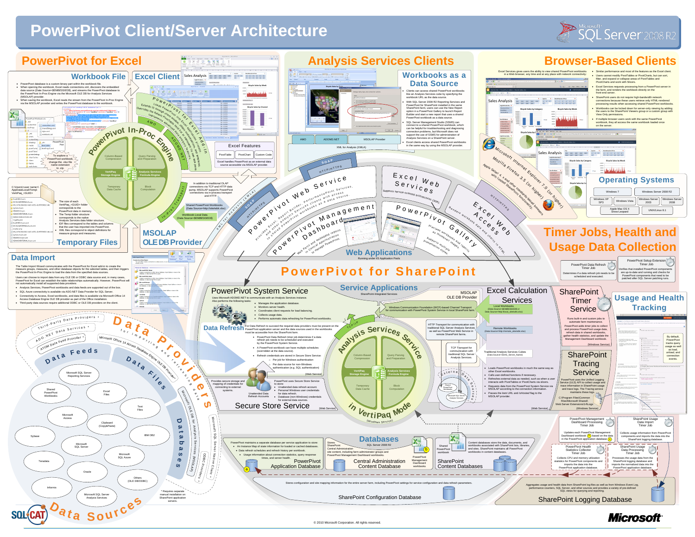